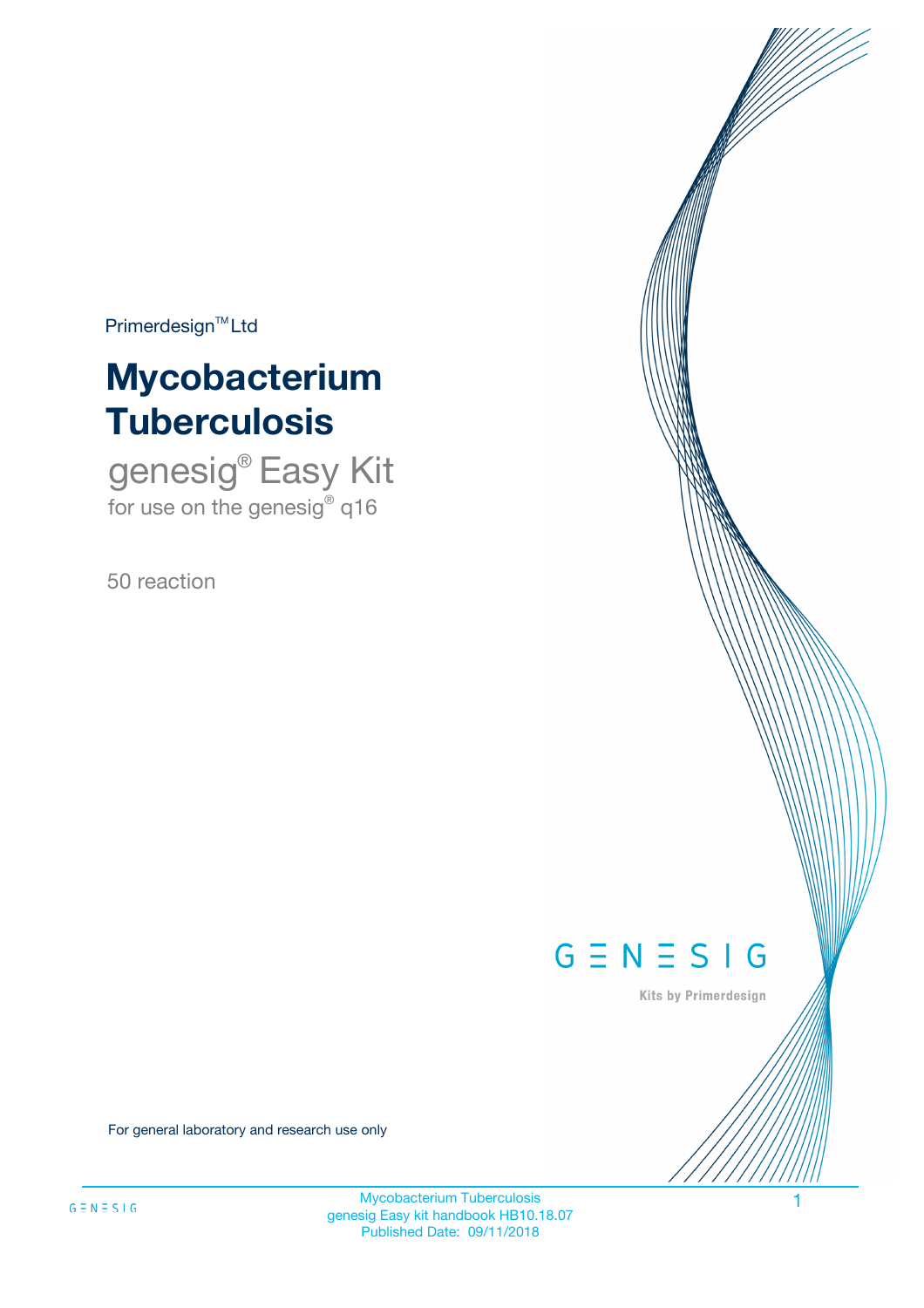$Primerdesign^{\text{TM}}Ltd$ 

# **Mycobacterium Tuberculosis**

genesig® Easy Kit for use on the genesig® q16

50 reaction



Kits by Primerdesign

For general laboratory and research use only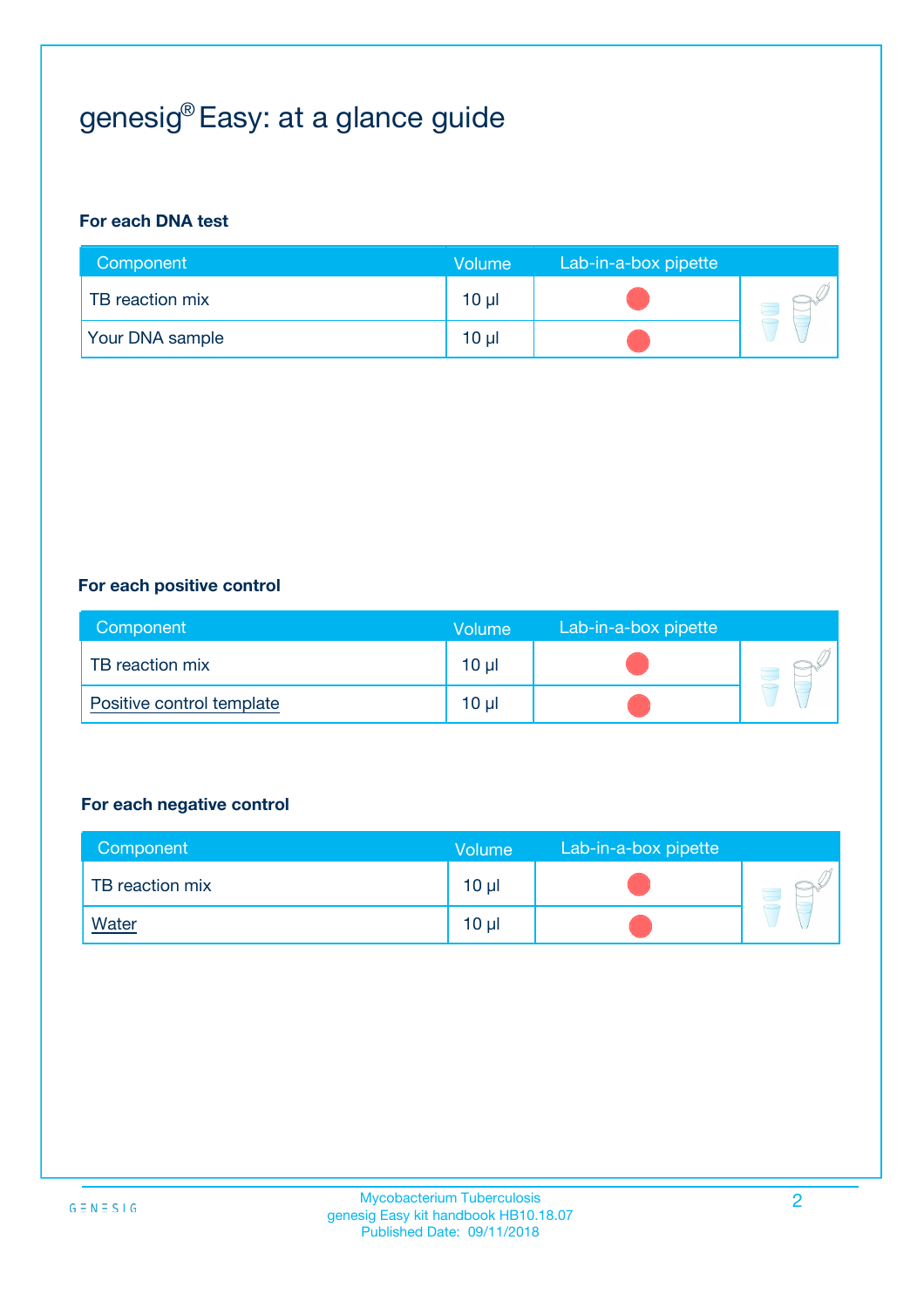# genesig® Easy: at a glance guide

#### **For each DNA test**

| Component              | <b>Volume</b> | Lab-in-a-box pipette |  |
|------------------------|---------------|----------------------|--|
| TB reaction mix        | $10 \mu$      |                      |  |
| <b>Your DNA sample</b> | $10 \mu$      |                      |  |

#### **For each positive control**

| Component                 | Volume          | Lab-in-a-box pipette |  |
|---------------------------|-----------------|----------------------|--|
| TB reaction mix           | 10 <sub>µ</sub> |                      |  |
| Positive control template | $10 \mu$        |                      |  |

#### **For each negative control**

| Component       | Volume          | Lab-in-a-box pipette |  |
|-----------------|-----------------|----------------------|--|
| TB reaction mix | 10 <sub>µ</sub> |                      |  |
| <b>Water</b>    | 10 <sub>µ</sub> |                      |  |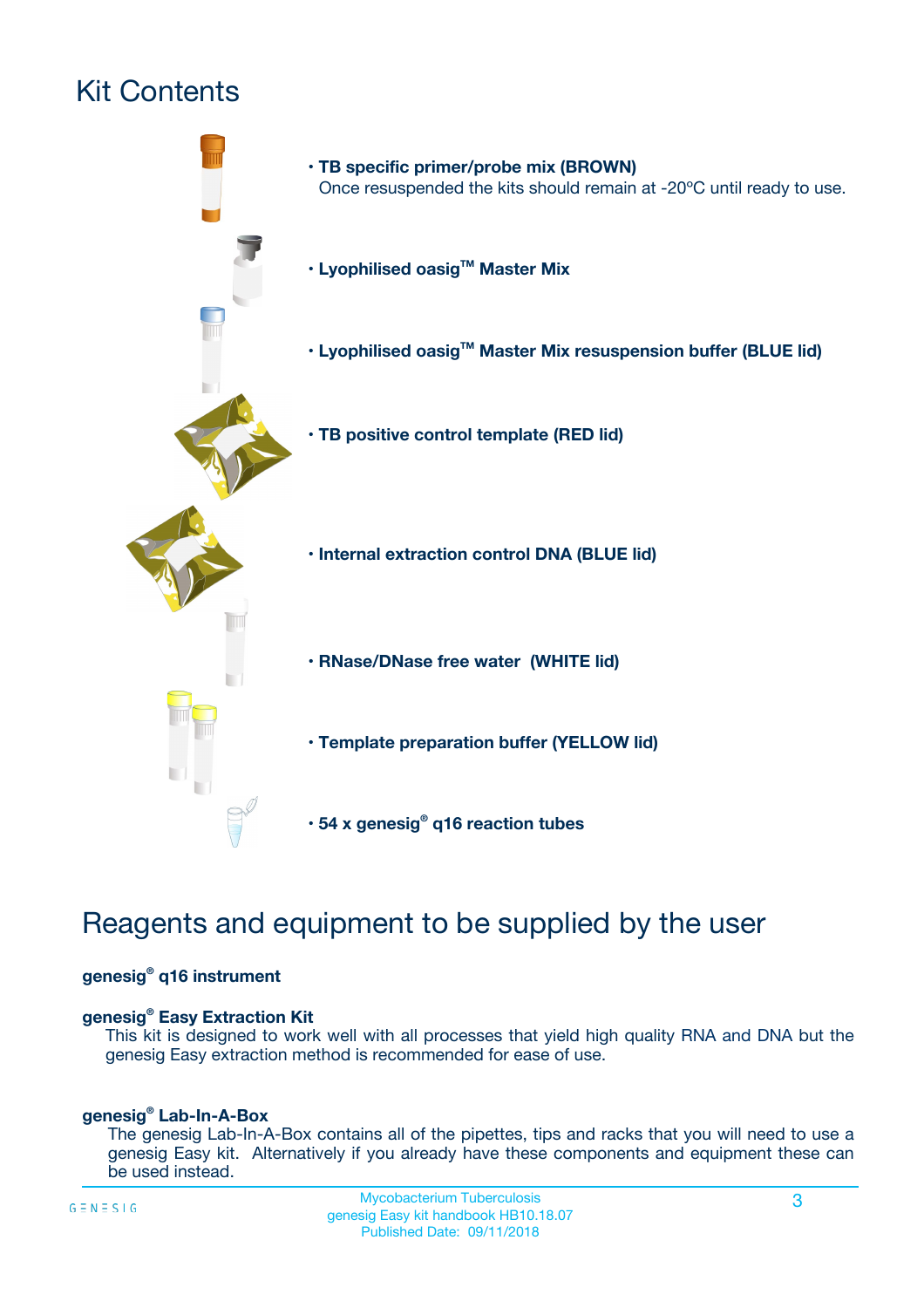# Kit Contents



## Reagents and equipment to be supplied by the user

#### **genesig® q16 instrument**

#### **genesig® Easy Extraction Kit**

This kit is designed to work well with all processes that yield high quality RNA and DNA but the genesig Easy extraction method is recommended for ease of use.

#### **genesig® Lab-In-A-Box**

The genesig Lab-In-A-Box contains all of the pipettes, tips and racks that you will need to use a genesig Easy kit. Alternatively if you already have these components and equipment these can be used instead.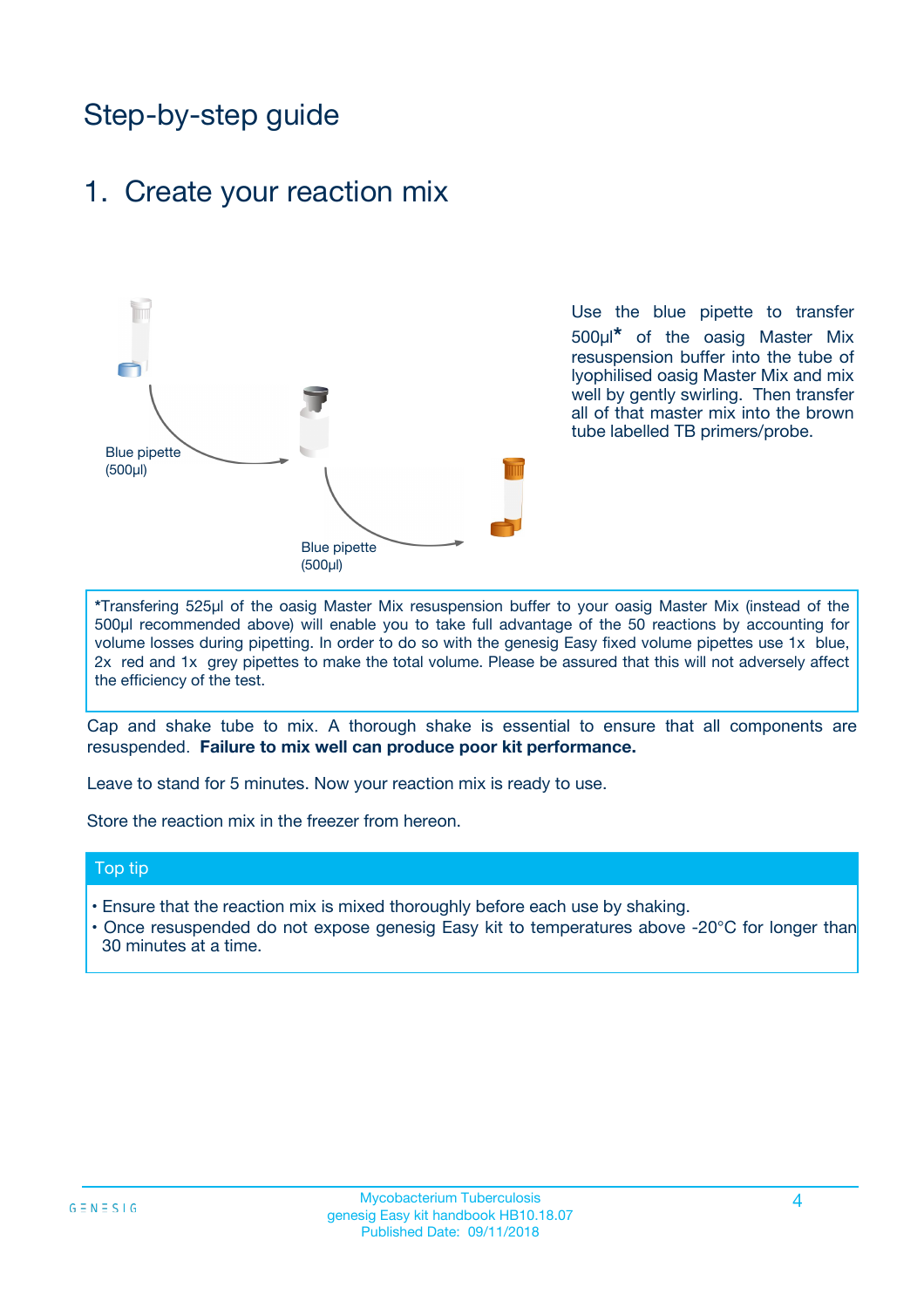## Step-by-step guide

### 1. Create your reaction mix



Use the blue pipette to transfer 500µl**\*** of the oasig Master Mix resuspension buffer into the tube of lyophilised oasig Master Mix and mix well by gently swirling. Then transfer all of that master mix into the brown tube labelled TB primers/probe.

**\***Transfering 525µl of the oasig Master Mix resuspension buffer to your oasig Master Mix (instead of the 500µl recommended above) will enable you to take full advantage of the 50 reactions by accounting for volume losses during pipetting. In order to do so with the genesig Easy fixed volume pipettes use 1x blue, 2x red and 1x grey pipettes to make the total volume. Please be assured that this will not adversely affect the efficiency of the test.

Cap and shake tube to mix. A thorough shake is essential to ensure that all components are resuspended. **Failure to mix well can produce poor kit performance.**

Leave to stand for 5 minutes. Now your reaction mix is ready to use.

Store the reaction mix in the freezer from hereon.

#### Top tip

- Ensure that the reaction mix is mixed thoroughly before each use by shaking.
- **•** Once resuspended do not expose genesig Easy kit to temperatures above -20°C for longer than 30 minutes at a time.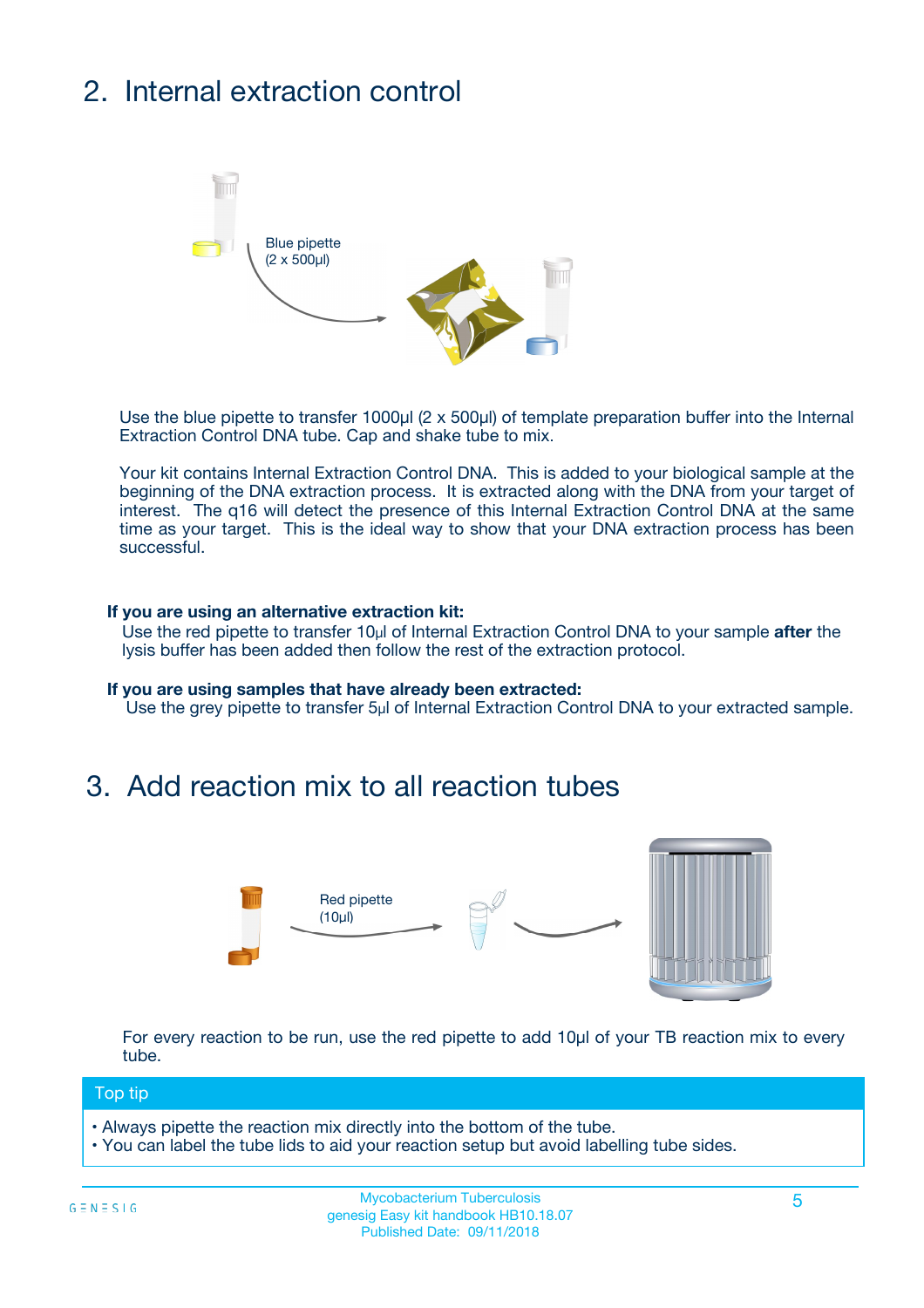# 2. Internal extraction control



Use the blue pipette to transfer 1000µl (2 x 500µl) of template preparation buffer into the Internal Extraction Control DNA tube. Cap and shake tube to mix.

Your kit contains Internal Extraction Control DNA. This is added to your biological sample at the beginning of the DNA extraction process. It is extracted along with the DNA from your target of interest. The q16 will detect the presence of this Internal Extraction Control DNA at the same time as your target. This is the ideal way to show that your DNA extraction process has been successful.

#### **If you are using an alternative extraction kit:**

Use the red pipette to transfer 10µl of Internal Extraction Control DNA to your sample **after** the lysis buffer has been added then follow the rest of the extraction protocol.

#### **If you are using samples that have already been extracted:**

Use the grey pipette to transfer 5µl of Internal Extraction Control DNA to your extracted sample.

### 3. Add reaction mix to all reaction tubes



For every reaction to be run, use the red pipette to add 10µl of your TB reaction mix to every tube.

#### Top tip

- Always pipette the reaction mix directly into the bottom of the tube.
- You can label the tube lids to aid your reaction setup but avoid labelling tube sides.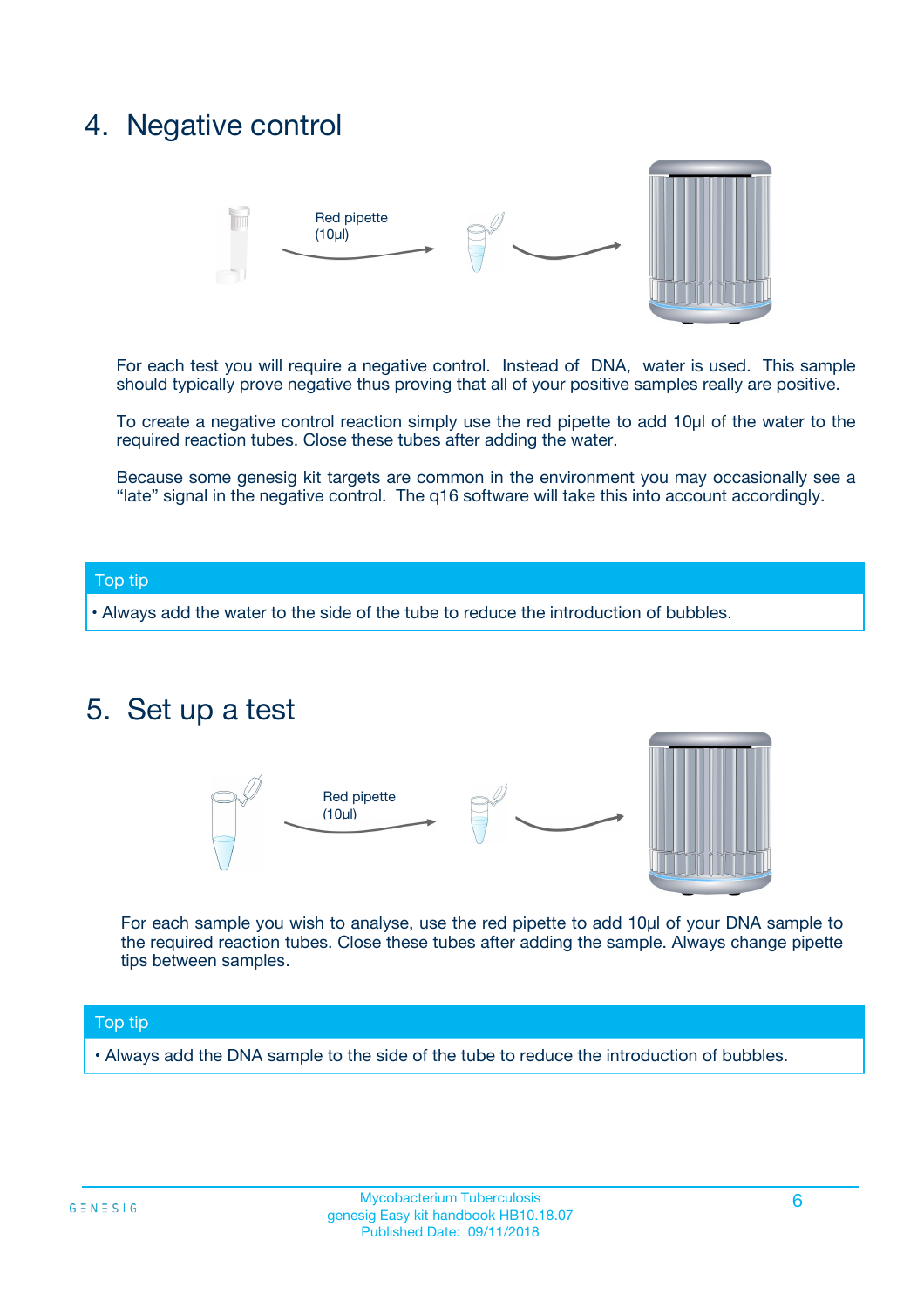## 4. Negative control



For each test you will require a negative control. Instead of DNA, water is used. This sample should typically prove negative thus proving that all of your positive samples really are positive.

To create a negative control reaction simply use the red pipette to add 10µl of the water to the required reaction tubes. Close these tubes after adding the water.

Because some genesig kit targets are common in the environment you may occasionally see a "late" signal in the negative control. The q16 software will take this into account accordingly.

#### Top tip

**•** Always add the water to the side of the tube to reduce the introduction of bubbles.

### 5. Set up a test



For each sample you wish to analyse, use the red pipette to add 10µl of your DNA sample to the required reaction tubes. Close these tubes after adding the sample. Always change pipette tips between samples.

#### Top tip

**•** Always add the DNA sample to the side of the tube to reduce the introduction of bubbles.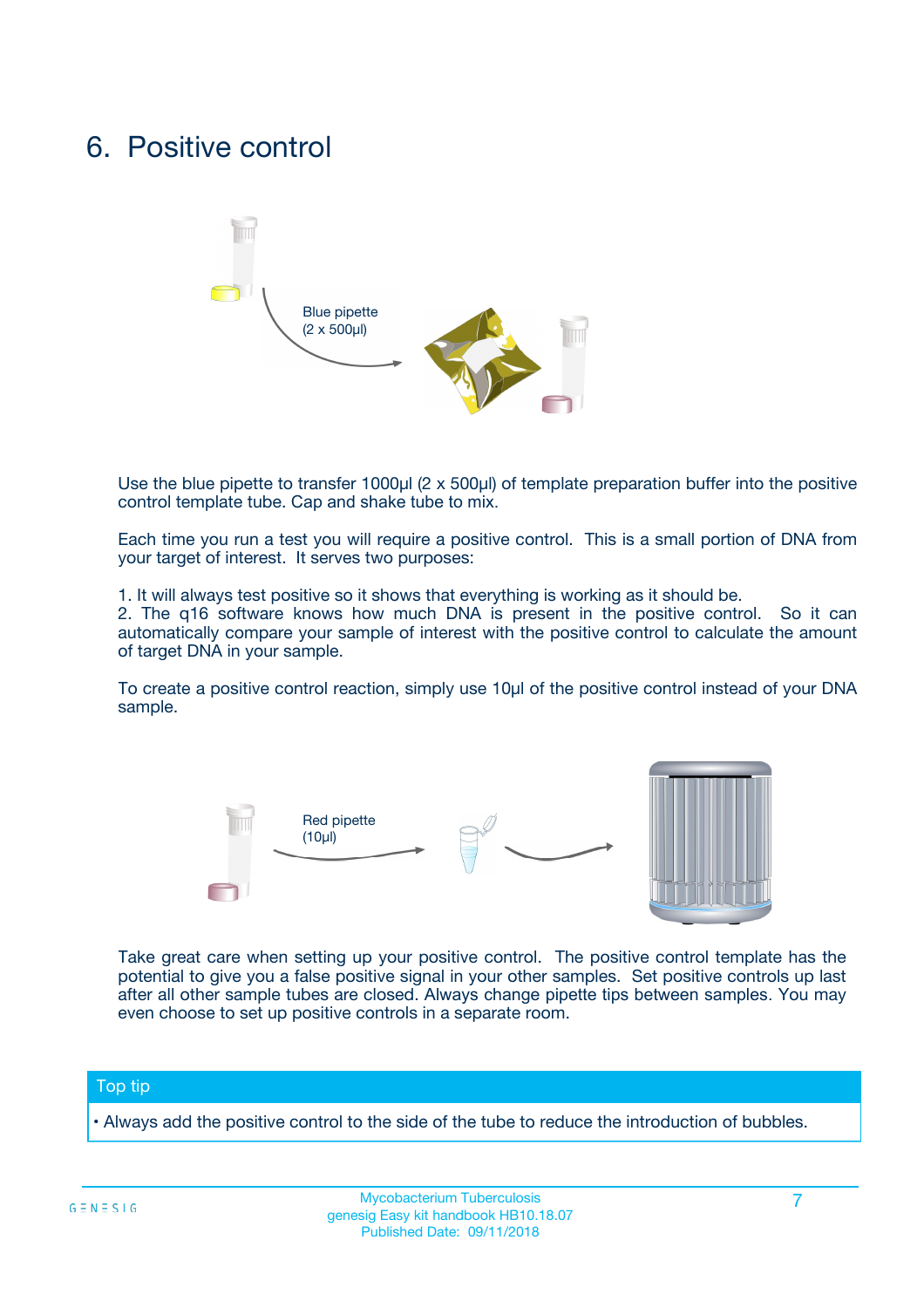## 6. Positive control



Use the blue pipette to transfer 1000µl (2 x 500µl) of template preparation buffer into the positive control template tube. Cap and shake tube to mix.

Each time you run a test you will require a positive control. This is a small portion of DNA from your target of interest. It serves two purposes:

1. It will always test positive so it shows that everything is working as it should be.

2. The q16 software knows how much DNA is present in the positive control. So it can automatically compare your sample of interest with the positive control to calculate the amount of target DNA in your sample.

To create a positive control reaction, simply use 10µl of the positive control instead of your DNA sample.



Take great care when setting up your positive control. The positive control template has the potential to give you a false positive signal in your other samples. Set positive controls up last after all other sample tubes are closed. Always change pipette tips between samples. You may even choose to set up positive controls in a separate room.

#### Top tip

**•** Always add the positive control to the side of the tube to reduce the introduction of bubbles.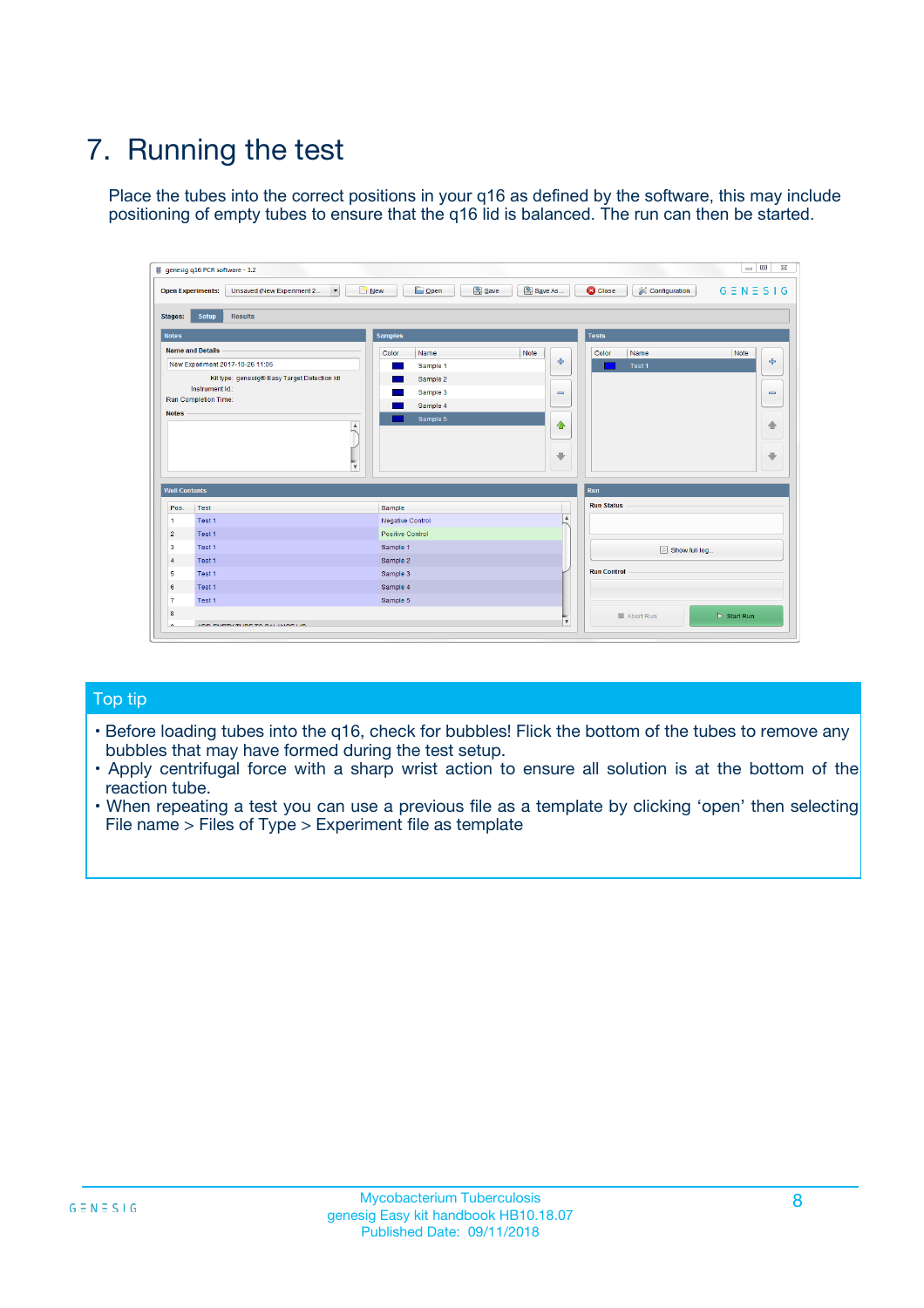# 7. Running the test

Place the tubes into the correct positions in your q16 as defined by the software, this may include positioning of empty tubes to ensure that the q16 lid is balanced. The run can then be started.

| genesig q16 PCR software - 1.2                                               |                                     | $\Box$                                                                                  |
|------------------------------------------------------------------------------|-------------------------------------|-----------------------------------------------------------------------------------------|
| Unsaved (New Experiment 2<br>$\vert \cdot \vert$<br><b>Open Experiments:</b> | <b>D</b> Open<br>Save<br>$\Box$ New | Save As<br><b>C</b> Close<br>$G \equiv N \equiv S \mid G$<br><b>&amp; Configuration</b> |
| Setup<br><b>Results</b><br><b>Stages:</b>                                    |                                     |                                                                                         |
| <b>Notes</b>                                                                 | Samples                             | <b>Tests</b>                                                                            |
| <b>Name and Details</b>                                                      | Color<br>Name                       | Note<br>Color<br>Note<br>Name                                                           |
| New Experiment 2017-10-26 11:06                                              | Sample 1                            | ع<br>条<br>Test 1                                                                        |
| Kit type: genesig® Easy Target Detection kit                                 | Sample 2                            |                                                                                         |
| Instrument Id.:                                                              | Sample 3                            | $\qquad \qquad \blacksquare$<br>$\qquad \qquad \blacksquare$                            |
| Run Completion Time:                                                         | Sample 4                            |                                                                                         |
| <b>Notes</b>                                                                 | Sample 5<br>A<br>v                  | $\triangle$<br>4<br>$\oplus$<br>₩                                                       |
| <b>Well Contents</b>                                                         |                                     | <b>Run</b>                                                                              |
| Pos.<br>Test                                                                 | Sample                              | <b>Run Status</b>                                                                       |
| Test 1<br>-1                                                                 | <b>Negative Control</b>             | $\blacktriangle$                                                                        |
| $\overline{2}$<br>Test 1                                                     | <b>Positive Control</b>             |                                                                                         |
| $\overline{\mathbf{3}}$<br>Test 1                                            | Sample 1                            | Show full log                                                                           |
| Test 1<br>$\overline{4}$                                                     | Sample 2                            |                                                                                         |
| 5<br>Test 1                                                                  | Sample 3                            | <b>Run Control</b>                                                                      |
| 6<br>Test 1                                                                  | Sample 4                            |                                                                                         |
| $\overline{7}$<br>Test 1                                                     | Sample 5                            |                                                                                         |
| 8                                                                            |                                     | $\triangleright$ Start Run<br>Abort Run                                                 |
| <b>JOD FURTY TUDE TO BUILDED IN</b>                                          |                                     | $\overline{\mathbf{v}}$                                                                 |

#### Top tip

- Before loading tubes into the q16, check for bubbles! Flick the bottom of the tubes to remove any bubbles that may have formed during the test setup.
- Apply centrifugal force with a sharp wrist action to ensure all solution is at the bottom of the reaction tube.
- When repeating a test you can use a previous file as a template by clicking 'open' then selecting File name > Files of Type > Experiment file as template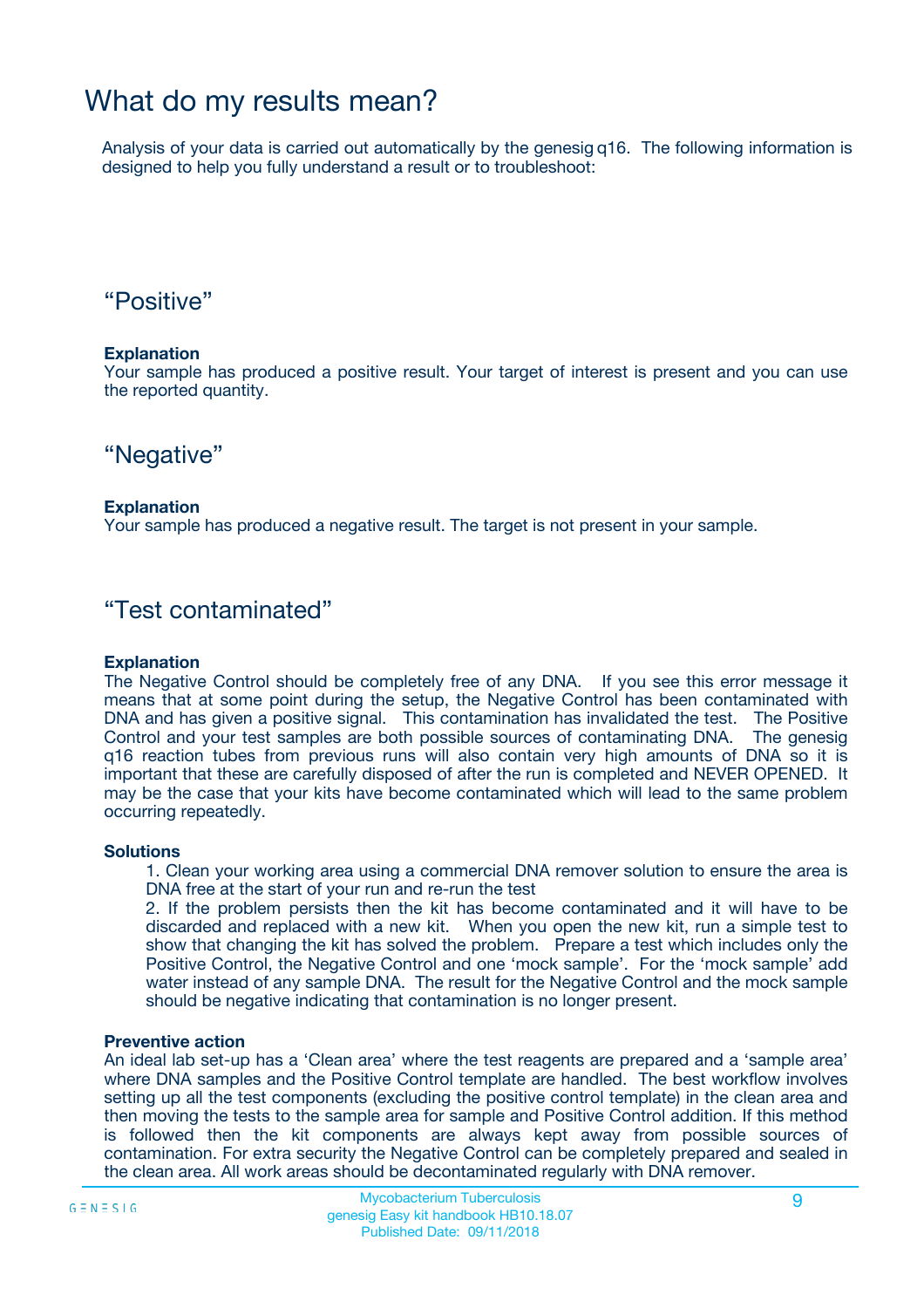## What do my results mean?

Analysis of your data is carried out automatically by the genesig q16. The following information is designed to help you fully understand a result or to troubleshoot:

### "Positive"

#### **Explanation**

Your sample has produced a positive result. Your target of interest is present and you can use the reported quantity.

"Negative"

#### **Explanation**

Your sample has produced a negative result. The target is not present in your sample.

### "Test contaminated"

#### **Explanation**

The Negative Control should be completely free of any DNA. If you see this error message it means that at some point during the setup, the Negative Control has been contaminated with DNA and has given a positive signal. This contamination has invalidated the test. The Positive Control and your test samples are both possible sources of contaminating DNA. The genesig q16 reaction tubes from previous runs will also contain very high amounts of DNA so it is important that these are carefully disposed of after the run is completed and NEVER OPENED. It may be the case that your kits have become contaminated which will lead to the same problem occurring repeatedly.

#### **Solutions**

1. Clean your working area using a commercial DNA remover solution to ensure the area is DNA free at the start of your run and re-run the test

2. If the problem persists then the kit has become contaminated and it will have to be discarded and replaced with a new kit. When you open the new kit, run a simple test to show that changing the kit has solved the problem. Prepare a test which includes only the Positive Control, the Negative Control and one 'mock sample'. For the 'mock sample' add water instead of any sample DNA. The result for the Negative Control and the mock sample should be negative indicating that contamination is no longer present.

#### **Preventive action**

An ideal lab set-up has a 'Clean area' where the test reagents are prepared and a 'sample area' where DNA samples and the Positive Control template are handled. The best workflow involves setting up all the test components (excluding the positive control template) in the clean area and then moving the tests to the sample area for sample and Positive Control addition. If this method is followed then the kit components are always kept away from possible sources of contamination. For extra security the Negative Control can be completely prepared and sealed in the clean area. All work areas should be decontaminated regularly with DNA remover.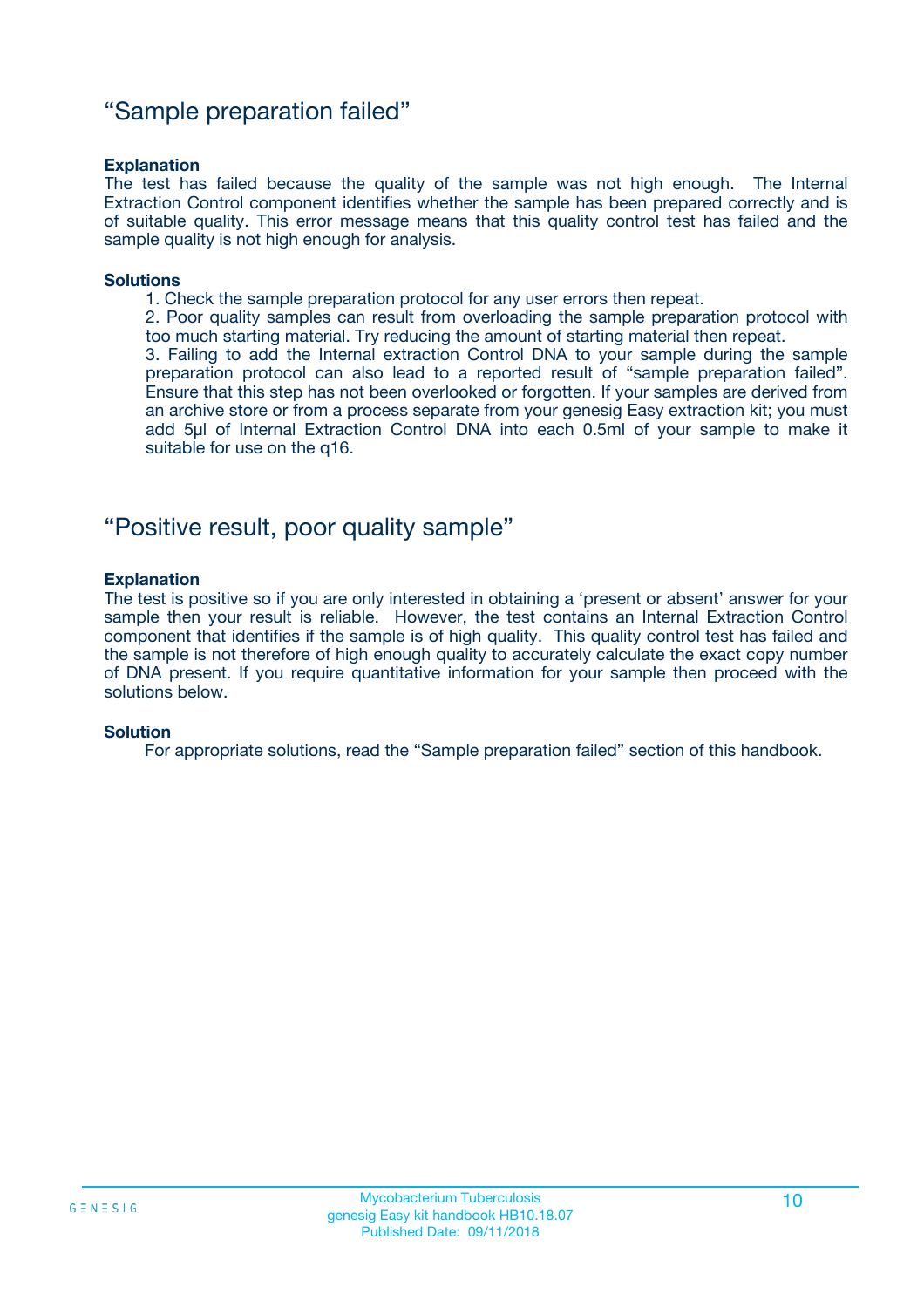### "Sample preparation failed"

#### **Explanation**

The test has failed because the quality of the sample was not high enough. The Internal Extraction Control component identifies whether the sample has been prepared correctly and is of suitable quality. This error message means that this quality control test has failed and the sample quality is not high enough for analysis.

#### **Solutions**

1. Check the sample preparation protocol for any user errors then repeat.

2. Poor quality samples can result from overloading the sample preparation protocol with too much starting material. Try reducing the amount of starting material then repeat.

3. Failing to add the Internal extraction Control DNA to your sample during the sample preparation protocol can also lead to a reported result of "sample preparation failed". Ensure that this step has not been overlooked or forgotten. If your samples are derived from an archive store or from a process separate from your genesig Easy extraction kit; you must add 5µl of Internal Extraction Control DNA into each 0.5ml of your sample to make it suitable for use on the q16.

### "Positive result, poor quality sample"

#### **Explanation**

The test is positive so if you are only interested in obtaining a 'present or absent' answer for your sample then your result is reliable. However, the test contains an Internal Extraction Control component that identifies if the sample is of high quality. This quality control test has failed and the sample is not therefore of high enough quality to accurately calculate the exact copy number of DNA present. If you require quantitative information for your sample then proceed with the solutions below.

#### **Solution**

For appropriate solutions, read the "Sample preparation failed" section of this handbook.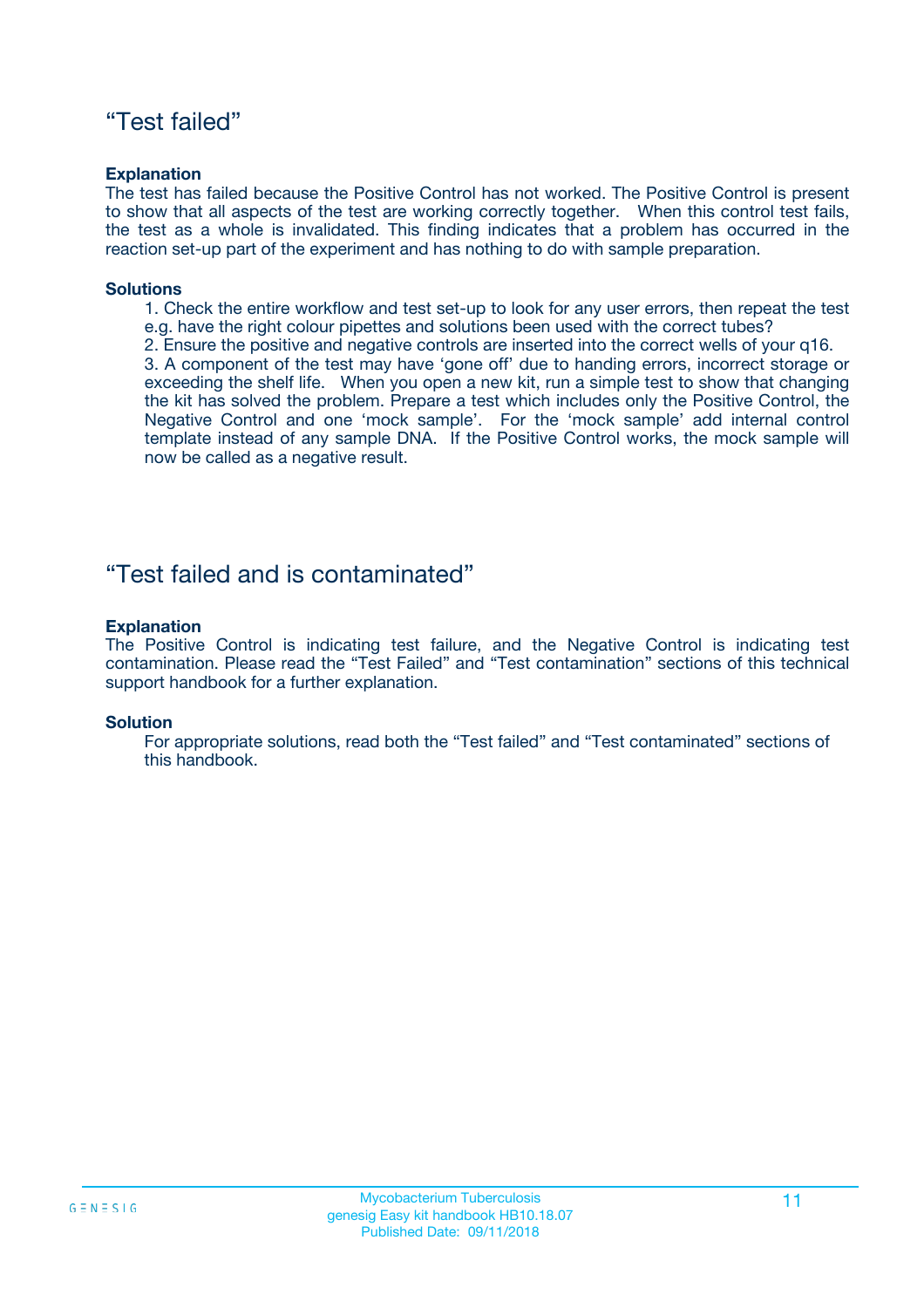### "Test failed"

#### **Explanation**

The test has failed because the Positive Control has not worked. The Positive Control is present to show that all aspects of the test are working correctly together. When this control test fails, the test as a whole is invalidated. This finding indicates that a problem has occurred in the reaction set-up part of the experiment and has nothing to do with sample preparation.

#### **Solutions**

- 1. Check the entire workflow and test set-up to look for any user errors, then repeat the test e.g. have the right colour pipettes and solutions been used with the correct tubes?
- 2. Ensure the positive and negative controls are inserted into the correct wells of your q16.

3. A component of the test may have 'gone off' due to handing errors, incorrect storage or exceeding the shelf life. When you open a new kit, run a simple test to show that changing the kit has solved the problem. Prepare a test which includes only the Positive Control, the Negative Control and one 'mock sample'. For the 'mock sample' add internal control template instead of any sample DNA. If the Positive Control works, the mock sample will now be called as a negative result.

### "Test failed and is contaminated"

#### **Explanation**

The Positive Control is indicating test failure, and the Negative Control is indicating test contamination. Please read the "Test Failed" and "Test contamination" sections of this technical support handbook for a further explanation.

#### **Solution**

For appropriate solutions, read both the "Test failed" and "Test contaminated" sections of this handbook.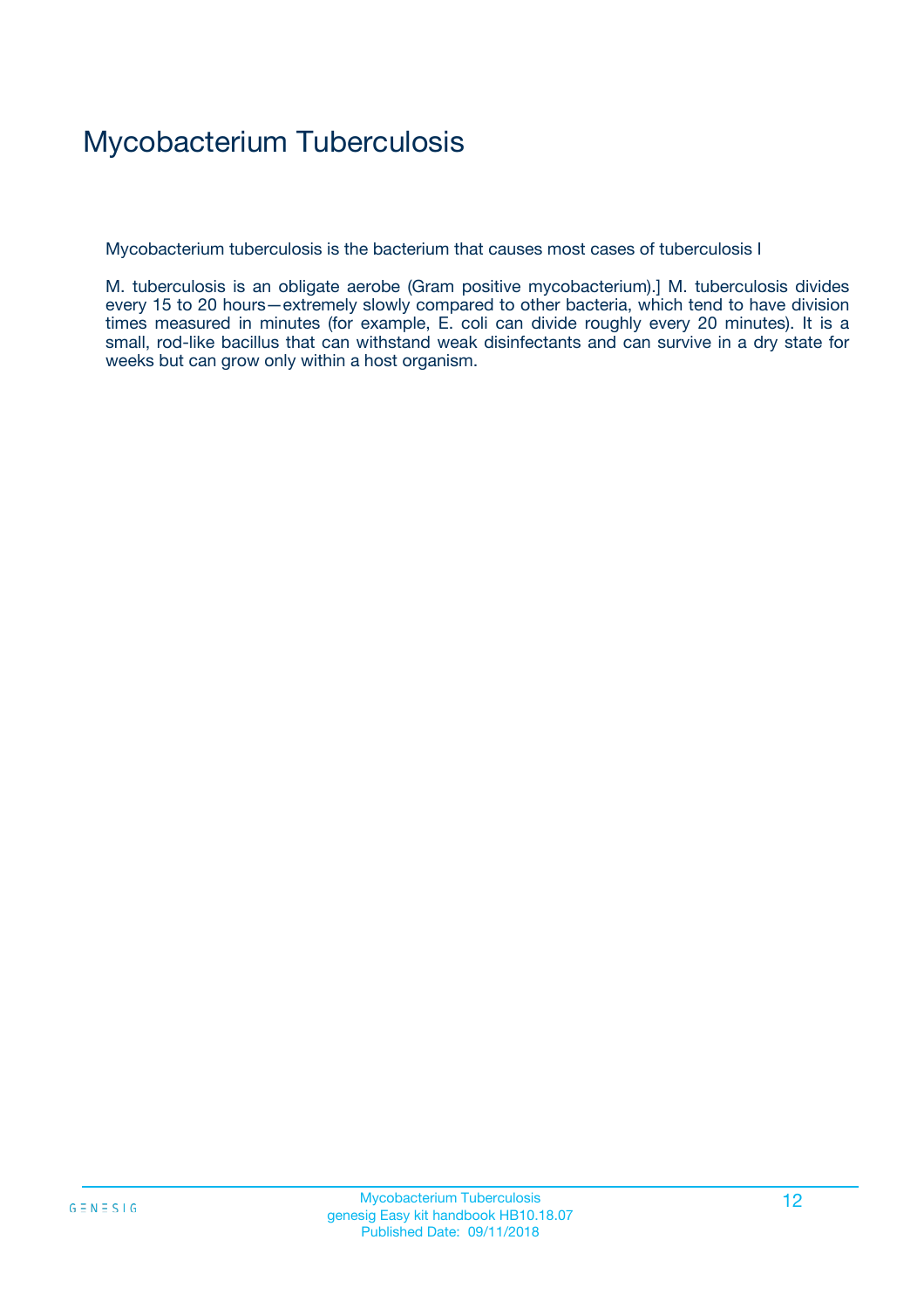# Mycobacterium Tuberculosis

Mycobacterium tuberculosis is the bacterium that causes most cases of tuberculosis I

M. tuberculosis is an obligate aerobe (Gram positive mycobacterium).] M. tuberculosis divides every 15 to 20 hours—extremely slowly compared to other bacteria, which tend to have division times measured in minutes (for example, E. coli can divide roughly every 20 minutes). It is a small, rod-like bacillus that can withstand weak disinfectants and can survive in a dry state for weeks but can grow only within a host organism.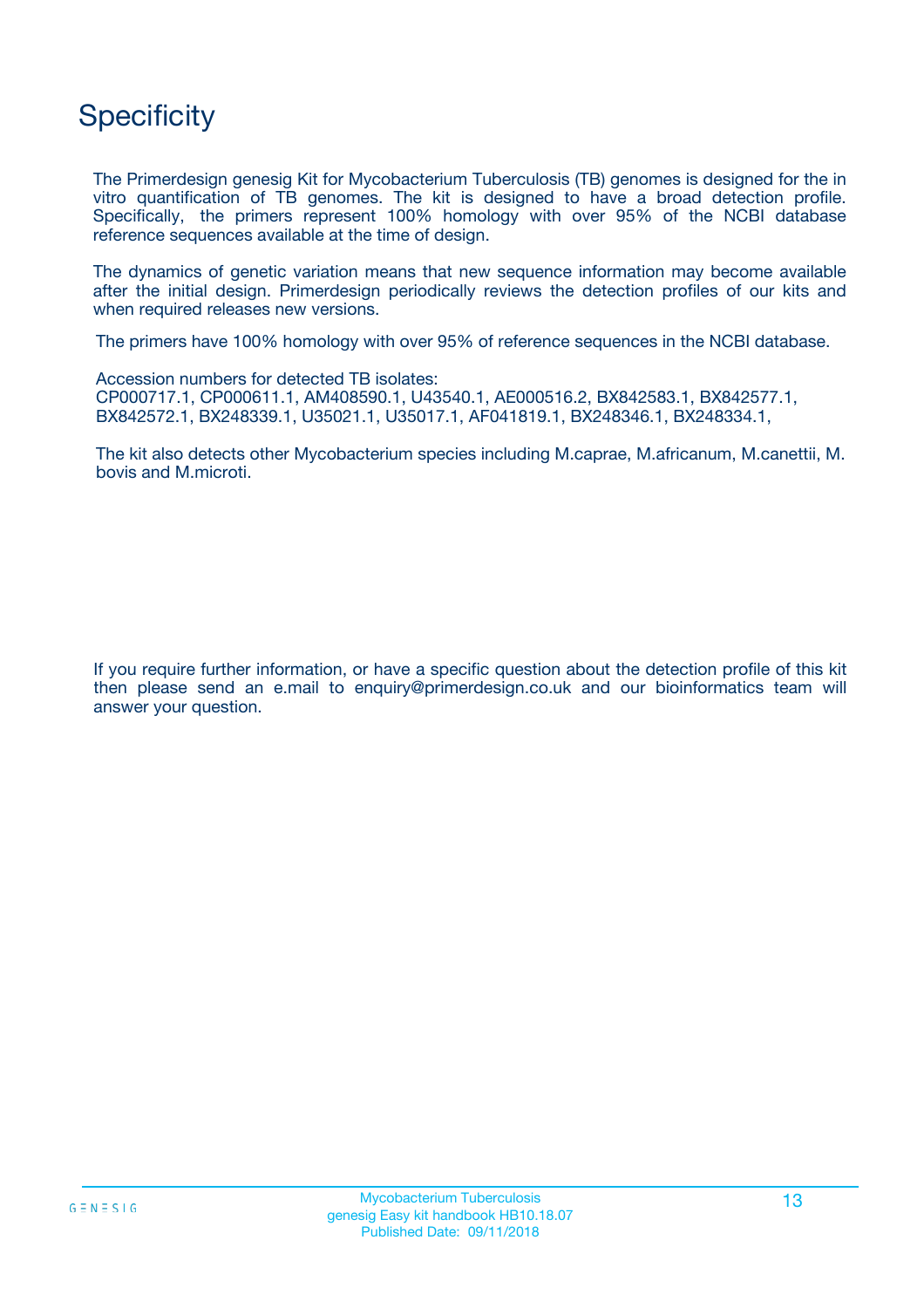## **Specificity**

The Primerdesign genesig Kit for Mycobacterium Tuberculosis (TB) genomes is designed for the in vitro quantification of TB genomes. The kit is designed to have a broad detection profile. Specifically, the primers represent 100% homology with over 95% of the NCBI database reference sequences available at the time of design.

The dynamics of genetic variation means that new sequence information may become available after the initial design. Primerdesign periodically reviews the detection profiles of our kits and when required releases new versions.

The primers have 100% homology with over 95% of reference sequences in the NCBI database.

Accession numbers for detected TB isolates: CP000717.1, CP000611.1, AM408590.1, U43540.1, AE000516.2, BX842583.1, BX842577.1, BX842572.1, BX248339.1, U35021.1, U35017.1, AF041819.1, BX248346.1, BX248334.1,

The kit also detects other Mycobacterium species including M.caprae, M.africanum, M.canettii, M. bovis and M.microti.

If you require further information, or have a specific question about the detection profile of this kit then please send an e.mail to enquiry@primerdesign.co.uk and our bioinformatics team will answer your question.